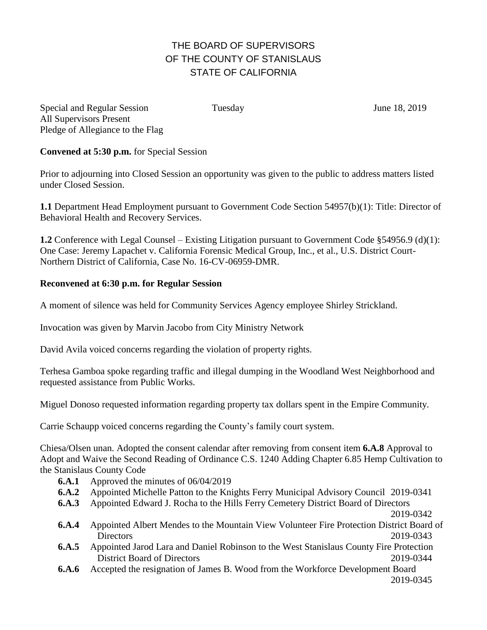## THE BOARD OF SUPERVISORS OF THE COUNTY OF STANISLAUS STATE OF CALIFORNIA

Special and Regular Session Tuesday June 18, 2019 All Supervisors Present Pledge of Allegiance to the Flag

## **Convened at 5:30 p.m.** for Special Session

Prior to adjourning into Closed Session an opportunity was given to the public to address matters listed under Closed Session.

**1.1** Department Head Employment pursuant to Government Code Section 54957(b)(1): Title: Director of Behavioral Health and Recovery Services.

**1.2** Conference with Legal Counsel – Existing Litigation pursuant to Government Code §54956.9 (d)(1): One Case: Jeremy Lapachet v. California Forensic Medical Group, Inc., et al., U.S. District Court-Northern District of California, Case No. 16-CV-06959-DMR.

## **Reconvened at 6:30 p.m. for Regular Session**

A moment of silence was held for Community Services Agency employee Shirley Strickland.

Invocation was given by Marvin Jacobo from City Ministry Network

David Avila voiced concerns regarding the violation of property rights.

Terhesa Gamboa spoke regarding traffic and illegal dumping in the Woodland West Neighborhood and requested assistance from Public Works.

Miguel Donoso requested information regarding property tax dollars spent in the Empire Community.

Carrie Schaupp voiced concerns regarding the County's family court system.

Chiesa/Olsen unan. Adopted the consent calendar after removing from consent item **6.A.8** Approval to Adopt and Waive the Second Reading of Ordinance C.S. 1240 Adding Chapter 6.85 Hemp Cultivation to the Stanislaus County Code

- **6.A.1** Approved the minutes of 06/04/2019
- **6.A.2** Appointed Michelle Patton to the Knights Ferry Municipal Advisory Council 2019-0341
- **6.A.3** Appointed Edward J. Rocha to the Hills Ferry Cemetery District Board of Directors

2019-0342

- **6.A.4** Appointed Albert Mendes to the Mountain View Volunteer Fire Protection District Board of Directors 2019-0343
- **6.A.5** Appointed Jarod Lara and Daniel Robinson to the West Stanislaus County Fire Protection District Board of Directors 2019-0344
- **6.A.6** Accepted the resignation of James B. Wood from the Workforce Development Board

2019-0345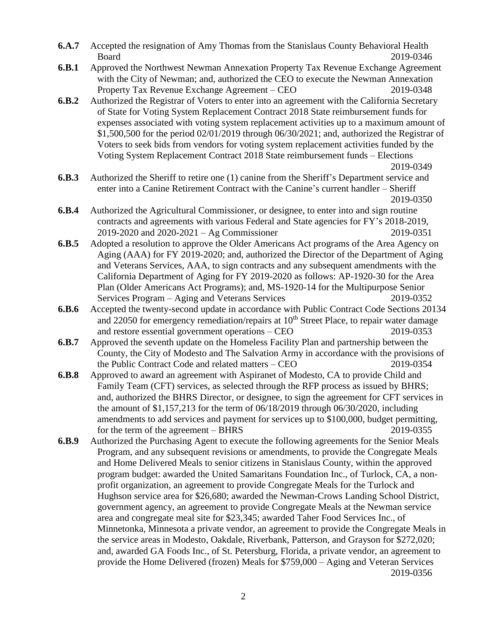- **6.A.7** Accepted the resignation of Amy Thomas from the Stanislaus County Behavioral Health Board 2019-0346
- **6.B.1** Approved the Northwest Newman Annexation Property Tax Revenue Exchange Agreement with the City of Newman; and, authorized the CEO to execute the Newman Annexation Property Tax Revenue Exchange Agreement – CEO 2019-0348
- **6.B.2** Authorized the Registrar of Voters to enter into an agreement with the California Secretary of State for Voting System Replacement Contract 2018 State reimbursement funds for expenses associated with voting system replacement activities up to a maximum amount of \$1,500,500 for the period 02/01/2019 through 06/30/2021; and, authorized the Registrar of Voters to seek bids from vendors for voting system replacement activities funded by the Voting System Replacement Contract 2018 State reimbursement funds – Elections

2019-0349

- **6.B.3** Authorized the Sheriff to retire one (1) canine from the Sheriff's Department service and enter into a Canine Retirement Contract with the Canine's current handler – Sheriff 2019-0350
- **6.B.4** Authorized the Agricultural Commissioner, or designee, to enter into and sign routine contracts and agreements with various Federal and State agencies for FY's 2018-2019, 2019-2020 and 2020-2021 – Ag Commissioner 2019-0351
- **6.B.5** Adopted a resolution to approve the Older Americans Act programs of the Area Agency on Aging (AAA) for FY 2019-2020; and, authorized the Director of the Department of Aging and Veterans Services, AAA, to sign contracts and any subsequent amendments with the California Department of Aging for FY 2019-2020 as follows: AP-1920-30 for the Area Plan (Older Americans Act Programs); and, MS-1920-14 for the Multipurpose Senior Services Program – Aging and Veterans Services 2019-0352
- **6.B.6** Accepted the twenty-second update in accordance with Public Contract Code Sections 20134 and 22050 for emergency remediation/repairs at 10<sup>th</sup> Street Place, to repair water damage and restore essential government operations – CEO 2019-0353
- **6.B.7** Approved the seventh update on the Homeless Facility Plan and partnership between the County, the City of Modesto and The Salvation Army in accordance with the provisions of the Public Contract Code and related matters – CEO 2019-0354
- **6.B.8** Approved to award an agreement with Aspiranet of Modesto, CA to provide Child and Family Team (CFT) services, as selected through the RFP process as issued by BHRS; and, authorized the BHRS Director, or designee, to sign the agreement for CFT services in the amount of \$1,157,213 for the term of 06/18/2019 through 06/30/2020, including amendments to add services and payment for services up to \$100,000, budget permitting, for the term of the agreement – BHRS 2019-0355
- **6.B.9** Authorized the Purchasing Agent to execute the following agreements for the Senior Meals Program, and any subsequent revisions or amendments, to provide the Congregate Meals and Home Delivered Meals to senior citizens in Stanislaus County, within the approved program budget: awarded the United Samaritans Foundation Inc., of Turlock, CA, a nonprofit organization, an agreement to provide Congregate Meals for the Turlock and Hughson service area for \$26,680; awarded the Newman-Crows Landing School District, government agency, an agreement to provide Congregate Meals at the Newman service area and congregate meal site for \$23,345; awarded Taher Food Services Inc., of Minnetonka, Minnesota a private vendor, an agreement to provide the Congregate Meals in the service areas in Modesto, Oakdale, Riverbank, Patterson, and Grayson for \$272,020; and, awarded GA Foods Inc., of St. Petersburg, Florida, a private vendor, an agreement to provide the Home Delivered (frozen) Meals for \$759,000 – Aging and Veteran Services 2019-0356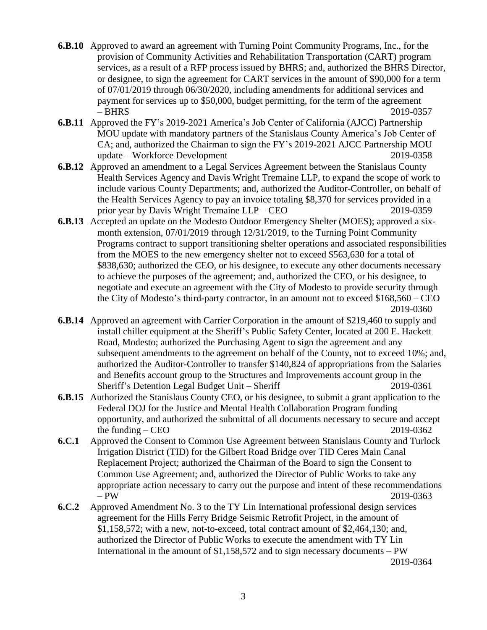- **6.B.10** Approved to award an agreement with Turning Point Community Programs, Inc., for the provision of Community Activities and Rehabilitation Transportation (CART) program services, as a result of a RFP process issued by BHRS; and, authorized the BHRS Director, or designee, to sign the agreement for CART services in the amount of \$90,000 for a term of 07/01/2019 through 06/30/2020, including amendments for additional services and payment for services up to \$50,000, budget permitting, for the term of the agreement – BHRS 2019-0357
- **6.B.11** Approved the FY's 2019-2021 America's Job Center of California (AJCC) Partnership MOU update with mandatory partners of the Stanislaus County America's Job Center of CA; and, authorized the Chairman to sign the FY's 2019-2021 AJCC Partnership MOU update – Workforce Development 2019-0358
- **6.B.12** Approved an amendment to a Legal Services Agreement between the Stanislaus County Health Services Agency and Davis Wright Tremaine LLP, to expand the scope of work to include various County Departments; and, authorized the Auditor-Controller, on behalf of the Health Services Agency to pay an invoice totaling \$8,370 for services provided in a prior year by Davis Wright Tremaine LLP – CEO 2019-0359
- **6.B.13** Accepted an update on the Modesto Outdoor Emergency Shelter (MOES); approved a sixmonth extension, 07/01/2019 through 12/31/2019, to the Turning Point Community Programs contract to support transitioning shelter operations and associated responsibilities from the MOES to the new emergency shelter not to exceed \$563,630 for a total of \$838,630; authorized the CEO, or his designee, to execute any other documents necessary to achieve the purposes of the agreement; and, authorized the CEO, or his designee, to negotiate and execute an agreement with the City of Modesto to provide security through the City of Modesto's third-party contractor, in an amount not to exceed \$168,560 – CEO 2019-0360
- **6.B.14** Approved an agreement with Carrier Corporation in the amount of \$219,460 to supply and install chiller equipment at the Sheriff's Public Safety Center, located at 200 E. Hackett Road, Modesto; authorized the Purchasing Agent to sign the agreement and any subsequent amendments to the agreement on behalf of the County, not to exceed 10%; and, authorized the Auditor-Controller to transfer \$140,824 of appropriations from the Salaries and Benefits account group to the Structures and Improvements account group in the Sheriff's Detention Legal Budget Unit – Sheriff 2019-0361
- **6.B.15** Authorized the Stanislaus County CEO, or his designee, to submit a grant application to the Federal DOJ for the Justice and Mental Health Collaboration Program funding opportunity, and authorized the submittal of all documents necessary to secure and accept the funding – CEO 2019-0362
- **6.C.1** Approved the Consent to Common Use Agreement between Stanislaus County and Turlock Irrigation District (TID) for the Gilbert Road Bridge over TID Ceres Main Canal Replacement Project; authorized the Chairman of the Board to sign the Consent to Common Use Agreement; and, authorized the Director of Public Works to take any appropriate action necessary to carry out the purpose and intent of these recommendations – PW 2019-0363
- **6.C.2** Approved Amendment No. 3 to the TY Lin International professional design services agreement for the Hills Ferry Bridge Seismic Retrofit Project, in the amount of \$1,158,572; with a new, not-to-exceed, total contract amount of \$2,464,130; and, authorized the Director of Public Works to execute the amendment with TY Lin International in the amount of \$1,158,572 and to sign necessary documents – PW

2019-0364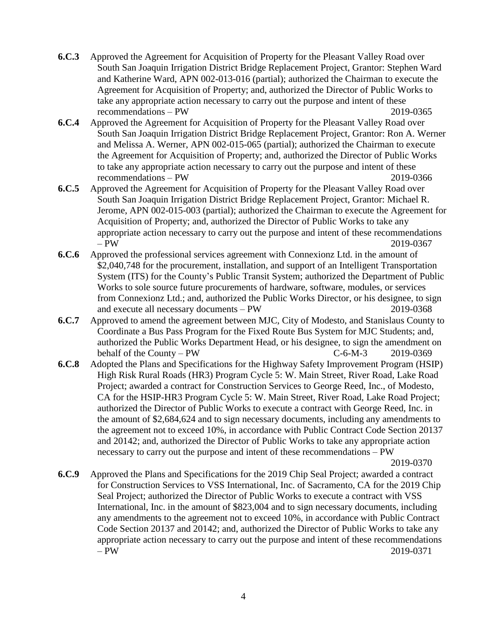- **6.C.3** Approved the Agreement for Acquisition of Property for the Pleasant Valley Road over South San Joaquin Irrigation District Bridge Replacement Project, Grantor: Stephen Ward and Katherine Ward, APN 002-013-016 (partial); authorized the Chairman to execute the Agreement for Acquisition of Property; and, authorized the Director of Public Works to take any appropriate action necessary to carry out the purpose and intent of these recommendations – PW 2019-0365
- **6.C.4** Approved the Agreement for Acquisition of Property for the Pleasant Valley Road over South San Joaquin Irrigation District Bridge Replacement Project, Grantor: Ron A. Werner and Melissa A. Werner, APN 002-015-065 (partial); authorized the Chairman to execute the Agreement for Acquisition of Property; and, authorized the Director of Public Works to take any appropriate action necessary to carry out the purpose and intent of these recommendations – PW 2019-0366
- **6.C.5** Approved the Agreement for Acquisition of Property for the Pleasant Valley Road over South San Joaquin Irrigation District Bridge Replacement Project, Grantor: Michael R. Jerome, APN 002-015-003 (partial); authorized the Chairman to execute the Agreement for Acquisition of Property; and, authorized the Director of Public Works to take any appropriate action necessary to carry out the purpose and intent of these recommendations – PW 2019-0367
- **6.C.6** Approved the professional services agreement with Connexionz Ltd. in the amount of \$2,040,748 for the procurement, installation, and support of an Intelligent Transportation System (ITS) for the County's Public Transit System; authorized the Department of Public Works to sole source future procurements of hardware, software, modules, or services from Connexionz Ltd.; and, authorized the Public Works Director, or his designee, to sign and execute all necessary documents – PW 2019-0368
- **6.C.7** Approved to amend the agreement between MJC, City of Modesto, and Stanislaus County to Coordinate a Bus Pass Program for the Fixed Route Bus System for MJC Students; and, authorized the Public Works Department Head, or his designee, to sign the amendment on behalf of the County – PW  $C-6-M-3$  2019-0369
- **6.C.8** Adopted the Plans and Specifications for the Highway Safety Improvement Program (HSIP) High Risk Rural Roads (HR3) Program Cycle 5: W. Main Street, River Road, Lake Road Project; awarded a contract for Construction Services to George Reed, Inc., of Modesto, CA for the HSIP-HR3 Program Cycle 5: W. Main Street, River Road, Lake Road Project; authorized the Director of Public Works to execute a contract with George Reed, Inc. in the amount of \$2,684,624 and to sign necessary documents, including any amendments to the agreement not to exceed 10%, in accordance with Public Contract Code Section 20137 and 20142; and, authorized the Director of Public Works to take any appropriate action necessary to carry out the purpose and intent of these recommendations – PW

2019-0370

**6.C.9** Approved the Plans and Specifications for the 2019 Chip Seal Project; awarded a contract for Construction Services to VSS International, Inc. of Sacramento, CA for the 2019 Chip Seal Project; authorized the Director of Public Works to execute a contract with VSS International, Inc. in the amount of \$823,004 and to sign necessary documents, including any amendments to the agreement not to exceed 10%, in accordance with Public Contract Code Section 20137 and 20142; and, authorized the Director of Public Works to take any appropriate action necessary to carry out the purpose and intent of these recommendations – PW 2019-0371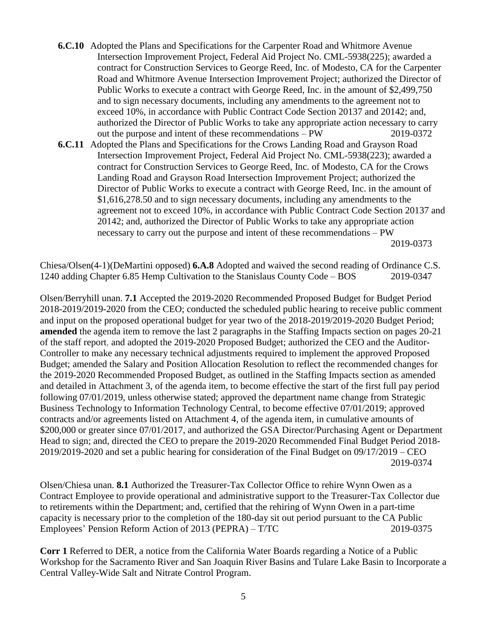- **6.C.10** Adopted the Plans and Specifications for the Carpenter Road and Whitmore Avenue Intersection Improvement Project, Federal Aid Project No. CML-5938(225); awarded a contract for Construction Services to George Reed, Inc. of Modesto, CA for the Carpenter Road and Whitmore Avenue Intersection Improvement Project; authorized the Director of Public Works to execute a contract with George Reed, Inc. in the amount of \$2,499,750 and to sign necessary documents, including any amendments to the agreement not to exceed 10%, in accordance with Public Contract Code Section 20137 and 20142; and, authorized the Director of Public Works to take any appropriate action necessary to carry out the purpose and intent of these recommendations – PW 2019-0372
- **6.C.11** Adopted the Plans and Specifications for the Crows Landing Road and Grayson Road Intersection Improvement Project, Federal Aid Project No. CML-5938(223); awarded a contract for Construction Services to George Reed, Inc. of Modesto, CA for the Crows Landing Road and Grayson Road Intersection Improvement Project; authorized the Director of Public Works to execute a contract with George Reed, Inc. in the amount of \$1,616,278.50 and to sign necessary documents, including any amendments to the agreement not to exceed 10%, in accordance with Public Contract Code Section 20137 and 20142; and, authorized the Director of Public Works to take any appropriate action necessary to carry out the purpose and intent of these recommendations – PW 2019-0373

Chiesa/Olsen(4-1)(DeMartini opposed) **6.A.8** Adopted and waived the second reading of Ordinance C.S. 1240 adding Chapter 6.85 Hemp Cultivation to the Stanislaus County Code – BOS 2019-0347

Olsen/Berryhill unan. **7.1** Accepted the 2019-2020 Recommended Proposed Budget for Budget Period 2018-2019/2019-2020 from the CEO; conducted the scheduled public hearing to receive public comment and input on the proposed operational budget for year two of the 2018-2019/2019-2020 Budget Period; **amended** the agenda item to remove the last 2 paragraphs in the Staffing Impacts section on pages 20-21 of the staff report, and adopted the 2019-2020 Proposed Budget; authorized the CEO and the Auditor-Controller to make any necessary technical adjustments required to implement the approved Proposed Budget; amended the Salary and Position Allocation Resolution to reflect the recommended changes for the 2019-2020 Recommended Proposed Budget, as outlined in the Staffing Impacts section as amended and detailed in Attachment 3, of the agenda item, to become effective the start of the first full pay period following 07/01/2019, unless otherwise stated; approved the department name change from Strategic Business Technology to Information Technology Central, to become effective 07/01/2019; approved contracts and/or agreements listed on Attachment 4, of the agenda item, in cumulative amounts of \$200,000 or greater since 07/01/2017, and authorized the GSA Director/Purchasing Agent or Department Head to sign; and, directed the CEO to prepare the 2019-2020 Recommended Final Budget Period 2018- 2019/2019-2020 and set a public hearing for consideration of the Final Budget on 09/17/2019 – CEO 2019-0374

Olsen/Chiesa unan. **8.1** Authorized the Treasurer-Tax Collector Office to rehire Wynn Owen as a Contract Employee to provide operational and administrative support to the Treasurer-Tax Collector due to retirements within the Department; and, certified that the rehiring of Wynn Owen in a part-time capacity is necessary prior to the completion of the 180-day sit out period pursuant to the CA Public Employees' Pension Reform Action of 2013 (PEPRA) – T/TC 2019-0375

**Corr 1** Referred to DER, a notice from the California Water Boards regarding a Notice of a Public Workshop for the Sacramento River and San Joaquin River Basins and Tulare Lake Basin to Incorporate a Central Valley-Wide Salt and Nitrate Control Program.